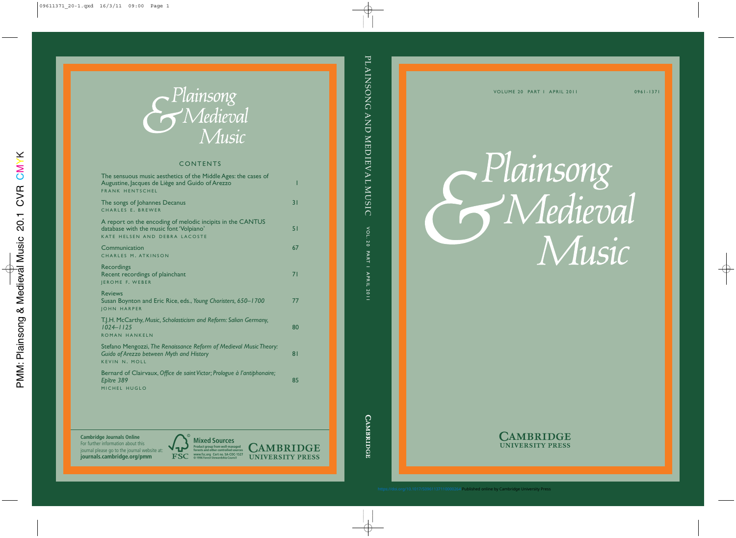Plainsong Wedieval Music



<https://doi.org/10.1017/S0961137110000264>Published online by Cambridge University Press

0961-1371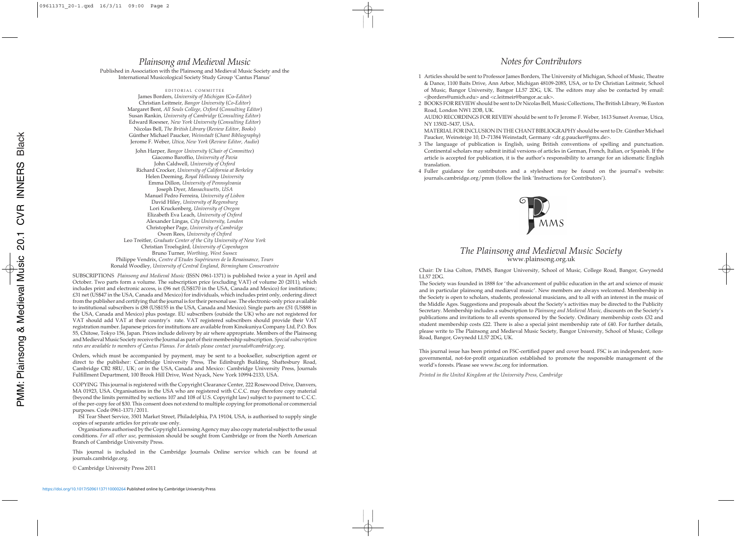## *Plainsong and Medieval Music*

Published in Association with the Plainsong and Medieval Music Society and the International Musicological Society Study Group 'Cantus Planus'

EDITORIAL COMMITTEE James Borders, *University of Michigan* (Co-*Editor*) Christian Leitmeir, *Bangor University* (*Co-Editor*) Margaret Bent, *All Souls College, Oxford* (*Consulting Editor*) Susan Rankin, *University of Cambridge* (*Consulting Editor*) Edward Roesner, *New York University* (*Consulting Editor*) Nicolas Bell, *The British Library* (*Review Editor, Books*) Günther Michael Paucker, *Weinstadt* (*Chant Bibliography*) Jerome F. Weber, *Utica, New York* (*Review Editor, Audio*) John Harper, *Bangor University* (*Chair of Committee*) Giacomo Baroffio, *University of Pavia* John Caldwell, *University of Oxford* Richard Crocker, *University of California at Berkeley* Helen Deeming, *Royal Holloway University* Emma Dillon, *University of Pennsylvania* Joseph Dyer, *Massachusetts, USA* Manuel Pedro Ferreira, *University of Lisbon* David Hiley, *University of Regensburg* Lori Kruckenberg, *University of Oregon* Elizabeth Eva Leach, *University of Oxford* Alexander Lingas, *City University, London* Christopher Page, *University of Cambridge* Owen Rees, *University of Oxford* Leo Treitler, *Graduate Center of the City University of New York* Christian Troelsgård, *University of Copenhagen* Bruno Turner, *Worthing, West Sussex* Philippe Vendrix, *Centre d'Etudes Supérieures de la Renaissance, Tours* Ronald Woodley, *University of Central England, Birmingham Conservatoire*

SUBSCRIPTIONS *Plainsong and Medieval Music* (ISSN 0961-1371) is published twice a year in April and October. Two parts form a volume. The subscription price (excluding VAT) of volume 20 (2011), which includes print and electronic access, is £96 net (US\$170 in the USA, Canada and Mexico) for institutions; £31 net (US\$47 in the USA, Canada and Mexico) for individuals, which includes print only, ordering direct from the publisher and certifying that the journal is for their personal use. The electronic-only price available to institutional subscribers is £88 (US\$155 in the USA, Canada and Mexico). Single parts are £51 (US\$88 in the USA, Canada and Mexico) plus postage. EU subscribers (outside the UK) who are not registered for VAT should add VAT at their country's rate. VAT registered subscribers should provide their VAT registration number. Japanese prices for institutions are available from Kinokuniya Company Ltd, P.O. Box 55, Chitose, Tokyo 156, Japan. Prices include delivery by air where appropriate. Members of the Plainsong and Medieval Music Society receive the Journal as part of their membership subscription. *Special subscription rates are available to members of Cantus Planus. For details please contact journals*@*cambridge.org*.

Orders, which must be accompanied by payment, may be sent to a bookseller, subscription agent or direct to the publisher: Cambridge University Press, The Edinburgh Building, Shaftesbury Road, Cambridge CB2 8RU, UK; or in the USA, Canada and Mexico: Cambridge University Press, Journals Fulfillment Department, 100 Brook Hill Drive, West Nyack, New York 10994-2133, USA.

COPYING This journal is registered with the Copyright Clearance Center, 222 Rosewood Drive, Danvers, MA 01923, USA. Organisations in the USA who are registered with C.C.C. may therefore copy material (beyond the limits permitted by sections 107 and 108 of U.S. Copyright law) subject to payment to C.C.C. of the per-copy fee of \$30. This consent does not extend to multiple copying for promotional or commercial purposes. Code 0961-1371/2011.

ISI Tear Sheet Service, 3501 Market Street, Philadelphia, PA 19104, USA, is authorised to supply single copies of separate articles for private use only.

Organisations authorised by the Copyright Licensing Agency may also copy material subject to the usual conditions. *For all other use*, permission should be sought from Cambridge or from the North American Branch of Cambridge University Press.

This journal is included in the Cambridge Journals Online service which can be found at journals.cambridge.org.

© Cambridge University Press 2011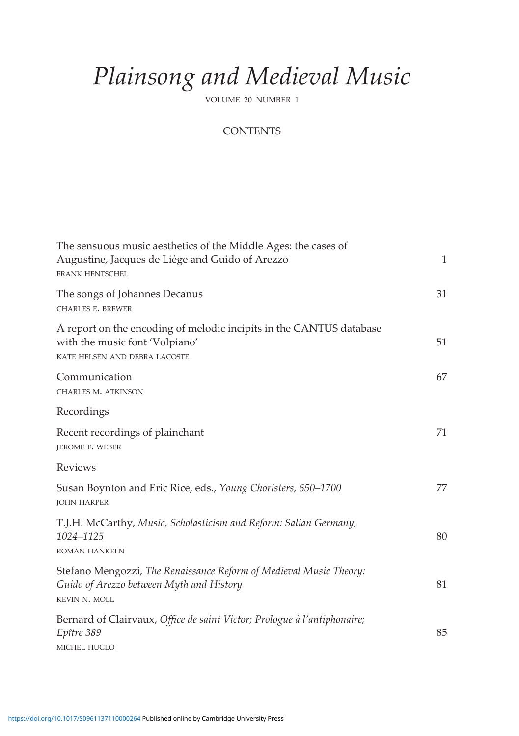## *Plainsong and Medieval Music*

VOLUME 20 NUMBER 1

## **CONTENTS**

| The sensuous music aesthetics of the Middle Ages: the cases of<br>Augustine, Jacques de Liège and Guido of Arezzo<br><b>FRANK HENTSCHEL</b> | $\mathbf{1}$ |
|---------------------------------------------------------------------------------------------------------------------------------------------|--------------|
| The songs of Johannes Decanus<br><b>CHARLES E. BREWER</b>                                                                                   | 31           |
| A report on the encoding of melodic incipits in the CANTUS database<br>with the music font 'Volpiano'<br>KATE HELSEN AND DEBRA LACOSTE      | 51           |
| Communication<br>CHARLES M. ATKINSON                                                                                                        | 67           |
| Recordings                                                                                                                                  |              |
| Recent recordings of plainchant<br>JEROME F. WEBER                                                                                          | 71           |
| Reviews                                                                                                                                     |              |
| Susan Boynton and Eric Rice, eds., Young Choristers, 650-1700<br><b>JOHN HARPER</b>                                                         | 77           |
| T.J.H. McCarthy, Music, Scholasticism and Reform: Salian Germany,<br>1024-1125<br><b>ROMAN HANKELN</b>                                      | 80           |
| Stefano Mengozzi, The Renaissance Reform of Medieval Music Theory:<br>Guido of Arezzo between Myth and History<br>KEVIN N. MOLL             | 81           |
| Bernard of Clairvaux, Office de saint Victor; Prologue à l'antiphonaire;<br>Epître 389<br>MICHEL HUGLO                                      | 85           |